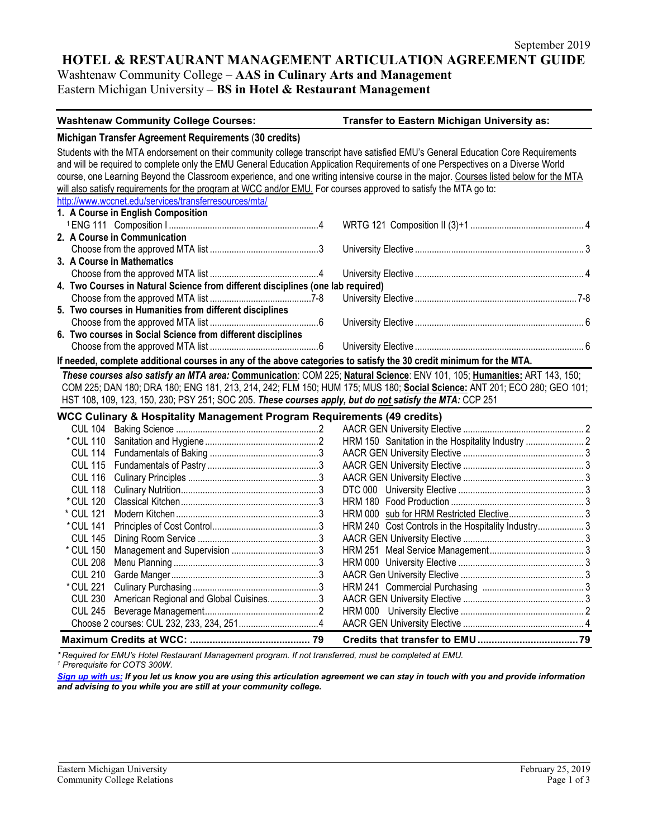## **HOTEL & RESTAURANT MANAGEMENT ARTICULATION AGREEMENT GUIDE**

Washtenaw Community College – **AAS in Culinary Arts and Management**

Eastern Michigan University – **BS in Hotel & Restaurant Management**

| <b>Washtenaw Community College Courses:</b>                                                                                                                                                                                                                                                                                                                                                                                                                                                                                      | Transfer to Eastern Michigan University as:         |
|----------------------------------------------------------------------------------------------------------------------------------------------------------------------------------------------------------------------------------------------------------------------------------------------------------------------------------------------------------------------------------------------------------------------------------------------------------------------------------------------------------------------------------|-----------------------------------------------------|
| Michigan Transfer Agreement Requirements (30 credits)                                                                                                                                                                                                                                                                                                                                                                                                                                                                            |                                                     |
| Students with the MTA endorsement on their community college transcript have satisfied EMU's General Education Core Requirements<br>and will be required to complete only the EMU General Education Application Requirements of one Perspectives on a Diverse World<br>course, one Learning Beyond the Classroom experience, and one writing intensive course in the major. Courses listed below for the MTA<br>will also satisfy requirements for the program at WCC and/or EMU. For courses approved to satisfy the MTA go to: |                                                     |
| http://www.wccnet.edu/services/transferresources/mta/                                                                                                                                                                                                                                                                                                                                                                                                                                                                            |                                                     |
| 1. A Course in English Composition                                                                                                                                                                                                                                                                                                                                                                                                                                                                                               |                                                     |
|                                                                                                                                                                                                                                                                                                                                                                                                                                                                                                                                  |                                                     |
| 2. A Course in Communication                                                                                                                                                                                                                                                                                                                                                                                                                                                                                                     |                                                     |
|                                                                                                                                                                                                                                                                                                                                                                                                                                                                                                                                  |                                                     |
| 3. A Course in Mathematics                                                                                                                                                                                                                                                                                                                                                                                                                                                                                                       |                                                     |
|                                                                                                                                                                                                                                                                                                                                                                                                                                                                                                                                  |                                                     |
| 4. Two Courses in Natural Science from different disciplines (one lab required)                                                                                                                                                                                                                                                                                                                                                                                                                                                  |                                                     |
|                                                                                                                                                                                                                                                                                                                                                                                                                                                                                                                                  |                                                     |
| 5. Two courses in Humanities from different disciplines                                                                                                                                                                                                                                                                                                                                                                                                                                                                          |                                                     |
| 6. Two courses in Social Science from different disciplines                                                                                                                                                                                                                                                                                                                                                                                                                                                                      |                                                     |
|                                                                                                                                                                                                                                                                                                                                                                                                                                                                                                                                  |                                                     |
| If needed, complete additional courses in any of the above categories to satisfy the 30 credit minimum for the MTA.                                                                                                                                                                                                                                                                                                                                                                                                              |                                                     |
|                                                                                                                                                                                                                                                                                                                                                                                                                                                                                                                                  |                                                     |
| These courses also satisfy an MTA area: Communication: COM 225; Natural Science: ENV 101, 105; Humanities: ART 143, 150;<br>COM 225; DAN 180; DRA 180; ENG 181, 213, 214, 242; FLM 150; HUM 175; MUS 180; Social Science: ANT 201; ECO 280; GEO 101;                                                                                                                                                                                                                                                                             |                                                     |
| HST 108, 109, 123, 150, 230; PSY 251; SOC 205. These courses apply, but do not satisfy the MTA: CCP 251                                                                                                                                                                                                                                                                                                                                                                                                                          |                                                     |
|                                                                                                                                                                                                                                                                                                                                                                                                                                                                                                                                  |                                                     |
| <b>WCC Culinary &amp; Hospitality Management Program Requirements (49 credits)</b>                                                                                                                                                                                                                                                                                                                                                                                                                                               |                                                     |
|                                                                                                                                                                                                                                                                                                                                                                                                                                                                                                                                  |                                                     |
|                                                                                                                                                                                                                                                                                                                                                                                                                                                                                                                                  |                                                     |
|                                                                                                                                                                                                                                                                                                                                                                                                                                                                                                                                  |                                                     |
| <b>CUL 116</b>                                                                                                                                                                                                                                                                                                                                                                                                                                                                                                                   |                                                     |
| <b>CUL 118</b>                                                                                                                                                                                                                                                                                                                                                                                                                                                                                                                   |                                                     |
| * CUL 120                                                                                                                                                                                                                                                                                                                                                                                                                                                                                                                        |                                                     |
| * CUL 121                                                                                                                                                                                                                                                                                                                                                                                                                                                                                                                        |                                                     |
| * CUL 141                                                                                                                                                                                                                                                                                                                                                                                                                                                                                                                        | HRM 240 Cost Controls in the Hospitality Industry 3 |
| <b>CUL 145</b>                                                                                                                                                                                                                                                                                                                                                                                                                                                                                                                   |                                                     |
| * CUL 150                                                                                                                                                                                                                                                                                                                                                                                                                                                                                                                        |                                                     |
| <b>CUL 208</b>                                                                                                                                                                                                                                                                                                                                                                                                                                                                                                                   |                                                     |
| <b>CUL 210</b>                                                                                                                                                                                                                                                                                                                                                                                                                                                                                                                   |                                                     |
| * CUL 221                                                                                                                                                                                                                                                                                                                                                                                                                                                                                                                        |                                                     |
| American Regional and Global Cuisines3<br><b>CUL 230</b>                                                                                                                                                                                                                                                                                                                                                                                                                                                                         |                                                     |
| <b>CUL 245</b>                                                                                                                                                                                                                                                                                                                                                                                                                                                                                                                   |                                                     |
|                                                                                                                                                                                                                                                                                                                                                                                                                                                                                                                                  |                                                     |
|                                                                                                                                                                                                                                                                                                                                                                                                                                                                                                                                  |                                                     |

*\* Required for EMU's Hotel Restaurant Management program. If not transferred, must be completed at EMU. <sup>1</sup> Prerequisite for COTS 300W.*

*[Sign up with us:](https://www.emich.edu/ccr/articulation-agreements/signup.php) If you let us know you are using this articulation agreement we can stay in touch with you and provide information and advising to you while you are still at your community college.*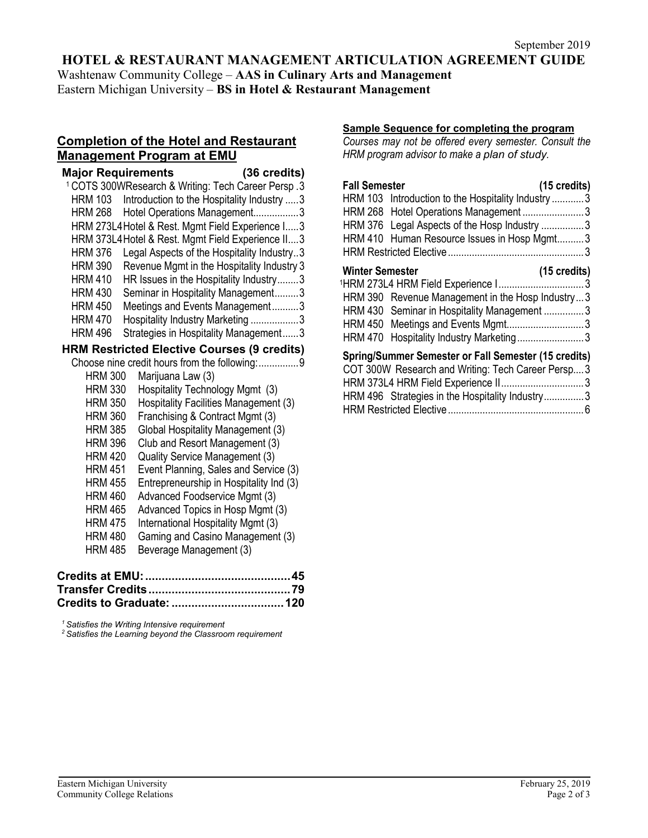## **HOTEL & RESTAURANT MANAGEMENT ARTICULATION AGREEMENT GUIDE**

Washtenaw Community College – **AAS in Culinary Arts and Management**

Eastern Michigan University – **BS in Hotel & Restaurant Management**

# **Completion of the Hotel and Restaurant Management Program at EMU**

| <b>Major Requirements</b>                                     | (36 credits)                               |
|---------------------------------------------------------------|--------------------------------------------|
| <sup>1</sup> COTS 300WResearch & Writing: Tech Career Persp.3 |                                            |
| HRM 103                                                       | Introduction to the Hospitality Industry 3 |
| HRM 268                                                       | Hotel Operations Management3               |
| HRM 273L4 Hotel & Rest. Mgmt Field Experience I 3             |                                            |
| HRM 373L4 Hotel & Rest. Mgmt Field Experience II 3            |                                            |
| <b>HRM 376</b>                                                | Legal Aspects of the Hospitality Industry3 |
| <b>HRM 390</b>                                                | Revenue Mgmt in the Hospitality Industry 3 |
| <b>HRM 410</b>                                                | HR Issues in the Hospitality Industry3     |
| <b>HRM 430</b>                                                | Seminar in Hospitality Management3         |
| <b>HRM 450</b>                                                | Meetings and Events Management3            |
| <b>HRM 470</b>                                                | Hospitality Industry Marketing 3           |
| <b>HRM 496</b>                                                | Strategies in Hospitality Management3      |
| <b>HRM Restricted Elective Courses (9 credits)</b>            |                                            |
| Choose nine credit hours from the following:9                 |                                            |
| Marijuana Law (3)<br><b>HRM 300</b>                           |                                            |
| <b>HRM 330</b>                                                | Hospitality Technology Mgmt (3)            |
| <b>HRM 350</b>                                                | Hospitality Facilities Management (3)      |
| Franchising & Contract Mgmt (3)<br><b>HRM 360</b>             |                                            |
| <b>HRM 385</b>                                                | Global Hospitality Management (3)          |
| <b>HRM 396</b>                                                | Club and Resort Management (3)             |
| Quality Service Management (3)<br><b>HRM 420</b>              |                                            |
| <b>HRM 451</b>                                                | Event Planning, Sales and Service (3)      |
| <b>HRM 455</b>                                                | Entrepreneurship in Hospitality Ind (3)    |
| Advanced Foodservice Mgmt (3)<br><b>HRM 460</b>               |                                            |
| <b>HRM 465</b>                                                | Advanced Topics in Hosp Mgmt (3)           |
| <b>HRM 475</b>                                                | International Hospitality Mgmt (3)         |
| <b>HRM 480</b>                                                | Gaming and Casino Management (3)           |
| Beverage Management (3)<br><b>HRM 485</b>                     |                                            |
| `redits at FMII.`                                             | 45                                         |

*<sup>1</sup> Satisfies the Writing Intensive requirement 2 Satisfies the Learning beyond the Classroom requirement*

## **Sample Sequence for completing the program**

*Courses may not be offered every semester. Consult the HRM program advisor to make a plan of study.*

| <b>Fall Semester</b>   |                                                                                                            | $(15 \text{ credits})$ |
|------------------------|------------------------------------------------------------------------------------------------------------|------------------------|
|                        | HRM 103 Introduction to the Hospitality Industry 3                                                         |                        |
|                        | HRM 268 Hotel Operations Management 3                                                                      |                        |
|                        | HRM 376 Legal Aspects of the Hosp Industry 3                                                               |                        |
|                        | HRM 410 Human Resource Issues in Hosp Mgmt3                                                                |                        |
|                        |                                                                                                            |                        |
| <b>Winter Semester</b> |                                                                                                            | $(15 \text{ credits})$ |
|                        | <sup>1</sup> HRM 273L4 HRM Field Experience 13                                                             |                        |
|                        | HRM 390 Revenue Management in the Hosp Industry3                                                           |                        |
|                        | HRM 430 Seminar in Hospitality Management 3                                                                |                        |
|                        | HRM 450 Meetings and Events Mgmt3                                                                          |                        |
|                        | HRM 470 Hospitality Industry Marketing3                                                                    |                        |
|                        | Spring/Summer Semester or Fall Semester (15 credits)<br>COT 300W Research and Writing: Tech Career Persn 3 |                        |

| COT 300W Research and Writing: Tech Career Persp 3 |  |
|----------------------------------------------------|--|
| HRM 373L4 HRM Field Experience II 3                |  |
| HRM 496 Strategies in the Hospitality Industry3    |  |
|                                                    |  |